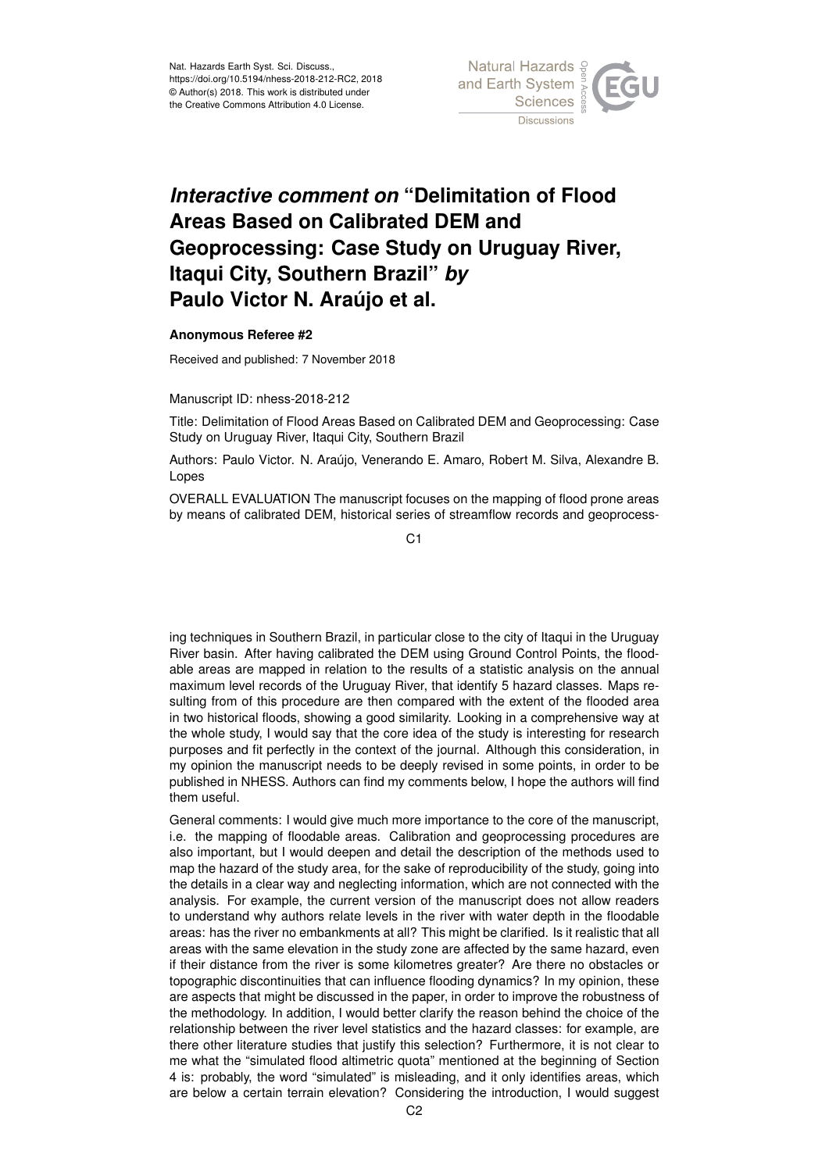

## *Interactive comment on* **"Delimitation of Flood Areas Based on Calibrated DEM and Geoprocessing: Case Study on Uruguay River, Itaqui City, Southern Brazil"** *by* **Paulo Victor N. Araújo et al.**

## **Anonymous Referee #2**

Received and published: 7 November 2018

Manuscript ID: nhess-2018-212

Title: Delimitation of Flood Areas Based on Calibrated DEM and Geoprocessing: Case Study on Uruguay River, Itaqui City, Southern Brazil

Authors: Paulo Victor. N. Araújo, Venerando E. Amaro, Robert M. Silva, Alexandre B. Lopes

OVERALL EVALUATION The manuscript focuses on the mapping of flood prone areas by means of calibrated DEM, historical series of streamflow records and geoprocess-

C<sub>1</sub>

ing techniques in Southern Brazil, in particular close to the city of Itaqui in the Uruguay River basin. After having calibrated the DEM using Ground Control Points, the floodable areas are mapped in relation to the results of a statistic analysis on the annual maximum level records of the Uruguay River, that identify 5 hazard classes. Maps resulting from of this procedure are then compared with the extent of the flooded area in two historical floods, showing a good similarity. Looking in a comprehensive way at the whole study, I would say that the core idea of the study is interesting for research purposes and fit perfectly in the context of the journal. Although this consideration, in my opinion the manuscript needs to be deeply revised in some points, in order to be published in NHESS. Authors can find my comments below, I hope the authors will find them useful.

General comments: I would give much more importance to the core of the manuscript, i.e. the mapping of floodable areas. Calibration and geoprocessing procedures are also important, but I would deepen and detail the description of the methods used to map the hazard of the study area, for the sake of reproducibility of the study, going into the details in a clear way and neglecting information, which are not connected with the analysis. For example, the current version of the manuscript does not allow readers to understand why authors relate levels in the river with water depth in the floodable areas: has the river no embankments at all? This might be clarified. Is it realistic that all areas with the same elevation in the study zone are affected by the same hazard, even if their distance from the river is some kilometres greater? Are there no obstacles or topographic discontinuities that can influence flooding dynamics? In my opinion, these are aspects that might be discussed in the paper, in order to improve the robustness of the methodology. In addition, I would better clarify the reason behind the choice of the relationship between the river level statistics and the hazard classes: for example, are there other literature studies that justify this selection? Furthermore, it is not clear to me what the "simulated flood altimetric quota" mentioned at the beginning of Section 4 is: probably, the word "simulated" is misleading, and it only identifies areas, which are below a certain terrain elevation? Considering the introduction, I would suggest